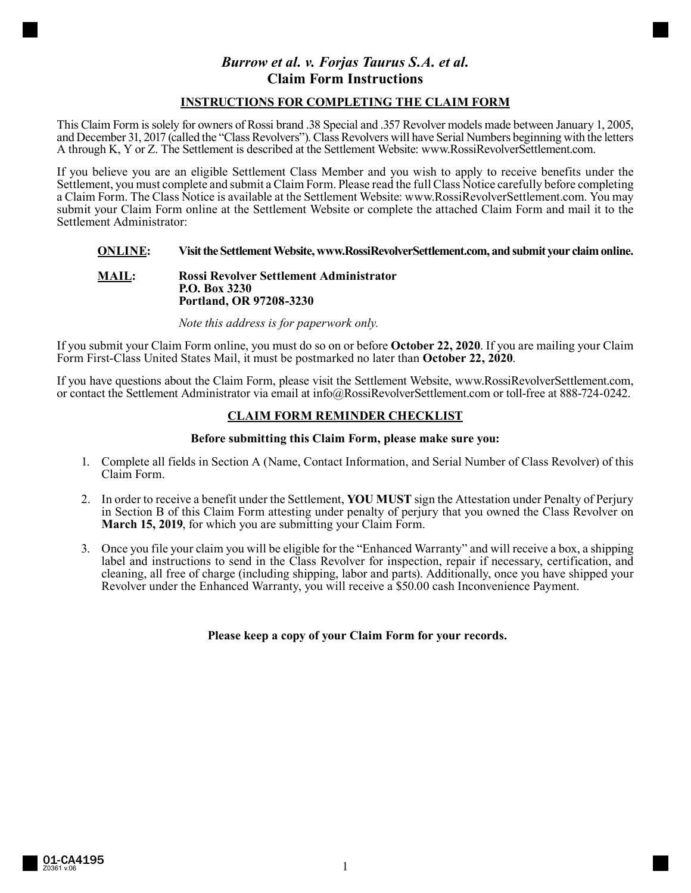# *Burrow et al. v. Forjas Taurus S.A. et al.* **Claim Form Instructions**

# **INSTRUCTIONS FOR COMPLETING THE CLAIM FORM**

This Claim Form is solely for owners of Rossi brand .38 Special and .357 Revolver models made between January 1, 2005, and December 31, 2017 (called the "Class Revolvers"). Class Revolvers will have Serial Numbers beginning with the letters A through K, Y or Z. The Settlement is described at the Settlement Website: www.RossiRevolverSettlement.com.

If you believe you are an eligible Settlement Class Member and you wish to apply to receive benefits under the Settlement, you must complete and submit a Claim Form. Please read the full Class Notice carefully before completing a Claim Form. The Class Notice is available at the Settlement Website: www.RossiRevolverSettlement.com. You may submit your Claim Form online at the Settlement Website or complete the attached Claim Form and mail it to the Settlement Administrator:

# **ONLINE: Visit the Settlement Website, www.RossiRevolverSettlement.com, and submit your claim online.**

#### **MAIL: Rossi Revolver Settlement Administrator P.O. Box 3230 Portland, OR 97208-3230**

*Note this address is for paperwork only.*

If you submit your Claim Form online, you must do so on or before **October 22, 2020**. If you are mailing your Claim Form First-Class United States Mail, it must be postmarked no later than **October 22, 2020**.

If you have questions about the Claim Form, please visit the Settlement Website, www.RossiRevolverSettlement.com, or contact the Settlement Administrator via email at info@RossiRevolverSettlement.com or toll-free at 888-724-0242.

# **CLAIM FORM REMINDER CHECKLIST**

#### **Before submitting this Claim Form, please make sure you:**

- 1. Complete all fields in Section A (Name, Contact Information, and Serial Number of Class Revolver) of this Claim Form.
- 2. In order to receive a benefit under the Settlement, **YOU MUST** sign the Attestation under Penalty of Perjury in Section B of this Claim Form attesting under penalty of perjury that you owned the Class Revolver on **March 15, 2019**, for which you are submitting your Claim Form.
- 3. Once you file your claim you will be eligible for the "Enhanced Warranty" and will receive a box, a shipping label and instructions to send in the Class Revolver for inspection, repair if necessary, certification, and cleaning, all free of charge (including shipping, labor and parts). Additionally, once you have shipped your Revolver under the Enhanced Warranty, you will receive a \$50.00 cash Inconvenience Payment.

# **Please keep a copy of your Claim Form for your records.**